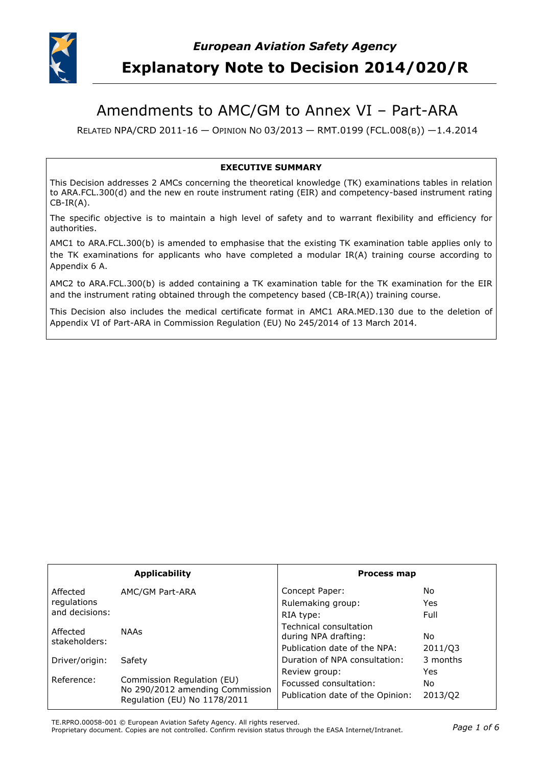

# Amendments to AMC/GM to Annex VI – Part-ARA

RELATED NPA/CRD 2011-16 — OPINION NO 03/2013 — RMT.0199 (FCL.008(B)) —1.4.2014

#### **EXECUTIVE SUMMARY**

This Decision addresses 2 AMCs concerning the theoretical knowledge (TK) examinations tables in relation to ARA.FCL.300(d) and the new en route instrument rating (EIR) and competency-based instrument rating CB-IR(A).

The specific objective is to maintain a high level of safety and to warrant flexibility and efficiency for authorities.

AMC1 to ARA.FCL.300(b) is amended to emphasise that the existing TK examination table applies only to the TK examinations for applicants who have completed a modular IR(A) training course according to Appendix 6 A.

AMC2 to ARA.FCL.300(b) is added containing a TK examination table for the TK examination for the EIR and the instrument rating obtained through the competency based (CB-IR(A)) training course.

This Decision also includes the medical certificate format in AMC1 ARA.MED.130 due to the deletion of Appendix VI of Part-ARA in Commission Regulation (EU) No 245/2014 of 13 March 2014.

| <b>Applicability</b>                      |                                                                                               | <b>Process map</b>                                                             |                       |
|-------------------------------------------|-----------------------------------------------------------------------------------------------|--------------------------------------------------------------------------------|-----------------------|
| Affected<br>regulations<br>and decisions: | AMC/GM Part-ARA                                                                               | Concept Paper:<br>Rulemaking group:<br>RIA type:                               | No.<br>Yes<br>Full    |
| Affected<br>stakeholders:                 | <b>NAAs</b>                                                                                   | Technical consultation<br>during NPA drafting:<br>Publication date of the NPA: | No.<br>2011/03        |
| Driver/origin:                            | Safety                                                                                        | Duration of NPA consultation:                                                  | 3 months              |
| Reference:                                | Commission Regulation (EU)<br>No 290/2012 amending Commission<br>Regulation (EU) No 1178/2011 | Review group:<br>Focussed consultation:<br>Publication date of the Opinion:    | Yes<br>No.<br>2013/Q2 |

TE.RPRO.00058-001 © European Aviation Safety Agency. All rights reserved.

Proprietary document. Copies are not controlled. Confirm revision status through the EASA Internet/Intranet. *Page 1 of 6*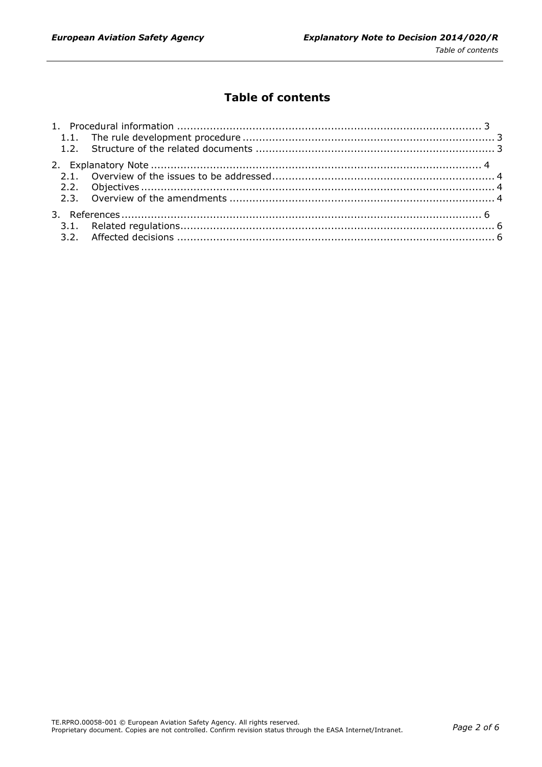# **Table of contents**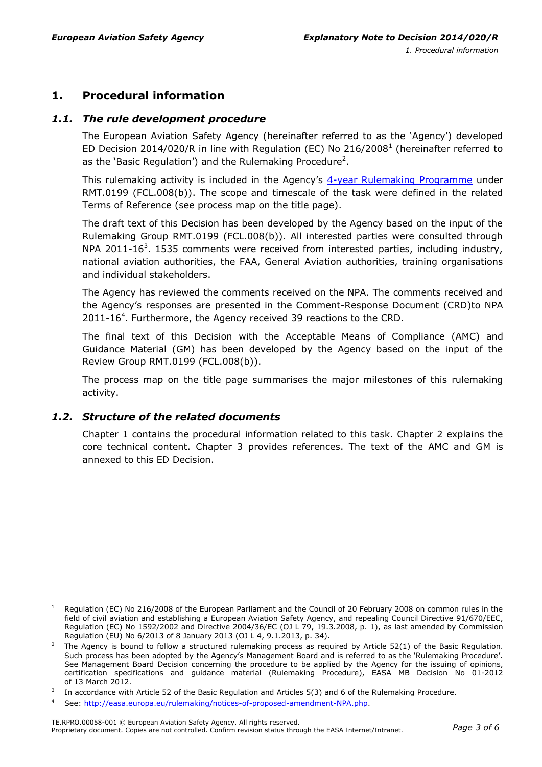# <span id="page-2-0"></span>**1. Procedural information**

#### <span id="page-2-1"></span>*1.1. The rule development procedure*

The European Aviation Safety Agency (hereinafter referred to as the 'Agency') developed ED Decision 2014/020/R in line with Regulation (EC) No 216/2008<sup>1</sup> (hereinafter referred to as the 'Basic Regulation') and the Rulemaking Procedure<sup>2</sup>.

This rulemaking activity is included in the Agency's [4-year Rulemaking Programme](http://easa.europa.eu/rulemaking/annual-programme-and-planning.php) under RMT.0199 (FCL.008(b)). The scope and timescale of the task were defined in the related Terms of Reference (see process map on the title page).

The draft text of this Decision has been developed by the Agency based on the input of the Rulemaking Group RMT.0199 (FCL.008(b)). All interested parties were consulted through NPA 2011-16<sup>3</sup>. 1535 comments were received from interested parties, including industry, national aviation authorities, the FAA, General Aviation authorities, training organisations and individual stakeholders.

The Agency has reviewed the comments received on the NPA. The comments received and the Agency's responses are presented in the Comment-Response Document (CRD)to NPA  $2011 - 16<sup>4</sup>$ . Furthermore, the Agency received 39 reactions to the CRD.

The final text of this Decision with the Acceptable Means of Compliance (AMC) and Guidance Material (GM) has been developed by the Agency based on the input of the Review Group RMT.0199 (FCL.008(b)).

The process map on the title page summarises the major milestones of this rulemaking activity.

#### <span id="page-2-2"></span>*1.2. Structure of the related documents*

-

Chapter 1 contains the procedural information related to this task. Chapter 2 explains the core technical content. Chapter 3 provides references. The text of the AMC and GM is annexed to this ED Decision.

Regulation (EC) No 216/2008 of the European Parliament and the Council of 20 February 2008 on common rules in the field of civil aviation and establishing a European Aviation Safety Agency, and repealing Council Directive 91/670/EEC, Regulation (EC) No 1592/2002 and Directive 2004/36/EC (OJ L 79, 19.3.2008, p. 1), as last amended by Commission Regulation (EU) No 6/2013 of 8 January 2013 (OJ L 4, 9.1.2013, p. 34).

<sup>2</sup> The Agency is bound to follow a structured rulemaking process as required by Article 52(1) of the Basic Regulation. Such process has been adopted by the Agency's Management Board and is referred to as the 'Rulemaking Procedure'. See Management Board Decision concerning the procedure to be applied by the Agency for the issuing of opinions, certification specifications and guidance material (Rulemaking Procedure), EASA MB Decision No 01-2012 of 13 March 2012.

<sup>3</sup> In accordance with Article 52 of the Basic Regulation and Articles 5(3) and 6 of the Rulemaking Procedure.

See: [http://easa.europa.eu/rulemaking/notices-of-proposed-amendment-NPA.php.](http://easa.europa.eu/rulemaking/notices-of-proposed-amendment-NPA.php)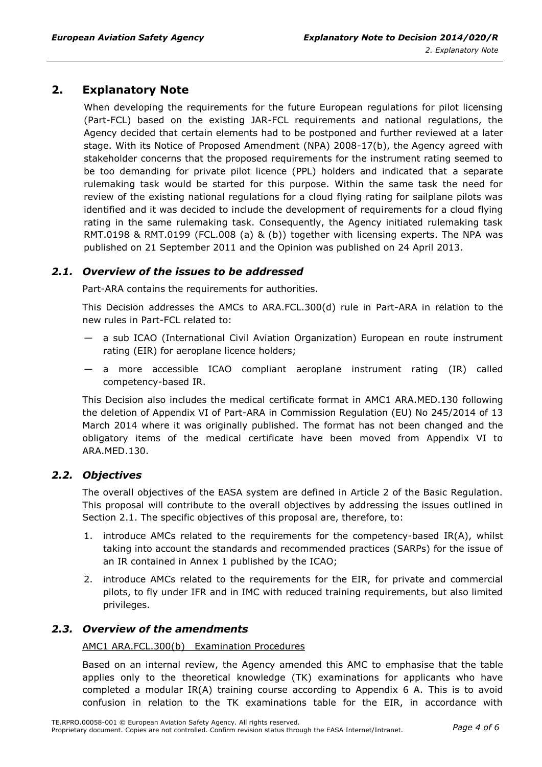## <span id="page-3-0"></span>**2. Explanatory Note**

When developing the requirements for the future European regulations for pilot licensing (Part-FCL) based on the existing JAR-FCL requirements and national regulations, the Agency decided that certain elements had to be postponed and further reviewed at a later stage. With its Notice of Proposed Amendment (NPA) 2008-17(b), the Agency agreed with stakeholder concerns that the proposed requirements for the instrument rating seemed to be too demanding for private pilot licence (PPL) holders and indicated that a separate rulemaking task would be started for this purpose. Within the same task the need for review of the existing national regulations for a cloud flying rating for sailplane pilots was identified and it was decided to include the development of requirements for a cloud flying rating in the same rulemaking task. Consequently, the Agency initiated rulemaking task RMT.0198 & RMT.0199 (FCL.008 (a) & (b)) together with licensing experts. The NPA was published on 21 September 2011 and the Opinion was published on 24 April 2013.

#### <span id="page-3-1"></span>*2.1. Overview of the issues to be addressed*

Part-ARA contains the requirements for authorities.

This Decision addresses the AMCs to ARA.FCL.300(d) rule in Part-ARA in relation to the new rules in Part-FCL related to:

- a sub ICAO (International Civil Aviation Organization) European en route instrument rating (EIR) for aeroplane licence holders;
- a more accessible ICAO compliant aeroplane instrument rating (IR) called competency-based IR.

This Decision also includes the medical certificate format in AMC1 ARA.MED.130 following the deletion of Appendix VI of Part-ARA in Commission Regulation (EU) No 245/2014 of 13 March 2014 where it was originally published. The format has not been changed and the obligatory items of the medical certificate have been moved from Appendix VI to ARA.MED.130.

#### <span id="page-3-2"></span>*2.2. Objectives*

The overall objectives of the EASA system are defined in Article 2 of the Basic Regulation. This proposal will contribute to the overall objectives by addressing the issues outlined in Section 2.1. The specific objectives of this proposal are, therefore, to:

- 1. introduce AMCs related to the requirements for the competency-based IR(A), whilst taking into account the standards and recommended practices (SARPs) for the issue of an IR contained in Annex 1 published by the ICAO;
- 2. introduce AMCs related to the requirements for the EIR, for private and commercial pilots, to fly under IFR and in IMC with reduced training requirements, but also limited privileges.

#### <span id="page-3-3"></span>*2.3. Overview of the amendments*

#### AMC1 ARA.FCL.300(b) Examination Procedures

Based on an internal review, the Agency amended this AMC to emphasise that the table applies only to the theoretical knowledge (TK) examinations for applicants who have completed a modular IR(A) training course according to Appendix 6 A. This is to avoid confusion in relation to the TK examinations table for the EIR, in accordance with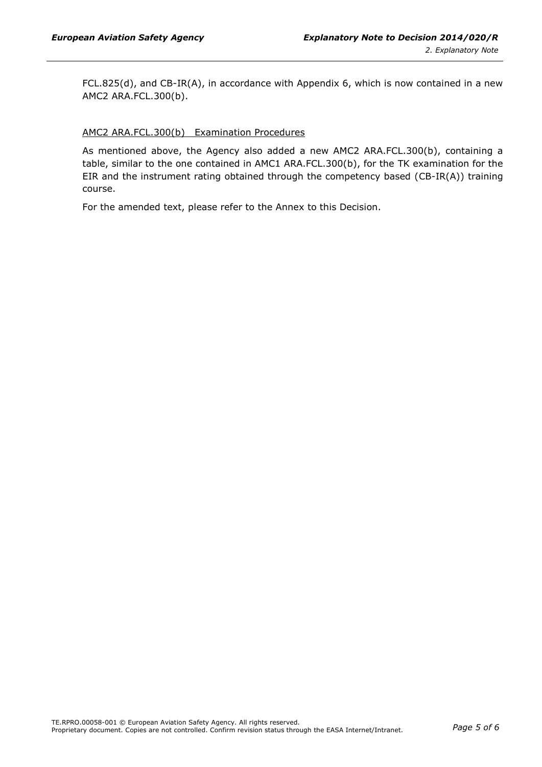$FCL.825(d)$ , and  $CB-IR(A)$ , in accordance with Appendix 6, which is now contained in a new AMC2 ARA.FCL.300(b).

#### AMC2 ARA.FCL.300(b) Examination Procedures

As mentioned above, the Agency also added a new AMC2 ARA.FCL.300(b), containing a table, similar to the one contained in AMC1 ARA.FCL.300(b), for the TK examination for the EIR and the instrument rating obtained through the competency based (CB-IR(A)) training course.

For the amended text, please refer to the Annex to this Decision.